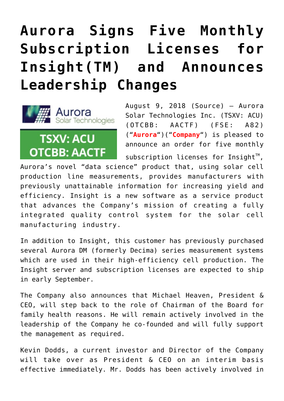## **[Aurora Signs Five Monthly](https://investorintel.com/markets/cleantech/cleantech-news/aurora-signs-five-monthly-subscription-licenses-insighttm-announces-leadership-changes/) [Subscription Licenses for](https://investorintel.com/markets/cleantech/cleantech-news/aurora-signs-five-monthly-subscription-licenses-insighttm-announces-leadership-changes/) [Insight\(TM\) and Announces](https://investorintel.com/markets/cleantech/cleantech-news/aurora-signs-five-monthly-subscription-licenses-insighttm-announces-leadership-changes/) [Leadership Changes](https://investorintel.com/markets/cleantech/cleantech-news/aurora-signs-five-monthly-subscription-licenses-insighttm-announces-leadership-changes/)**



August 9, 2018 ([Source\)](https://investorintel.com/iintel-members/aurora-solar-technologies-inc-2/) — Aurora Solar Technologies Inc. (TSXV: ACU) (OTCBB: AACTF) (FSE: A82) ("**Aurora**")("**Company**") is pleased to announce an order for five monthly

subscription licenses for Insight<sup> $M$ </sup>, Aurora's novel "data science" product that, using solar cell production line measurements, provides manufacturers with previously unattainable information for increasing yield and efficiency. Insight is a new software as a service product that advances the Company's mission of creating a fully integrated quality control system for the solar cell manufacturing industry.

In addition to Insight, this customer has previously purchased several Aurora DM (formerly Decima) series measurement systems which are used in their high-efficiency cell production. The Insight server and subscription licenses are expected to ship in early September.

The Company also announces that Michael Heaven, President & CEO, will step back to the role of Chairman of the Board for family health reasons. He will remain actively involved in the leadership of the Company he co-founded and will fully support the management as required.

Kevin Dodds, a current investor and Director of the Company will take over as President & CEO on an interim basis effective immediately. Mr. Dodds has been actively involved in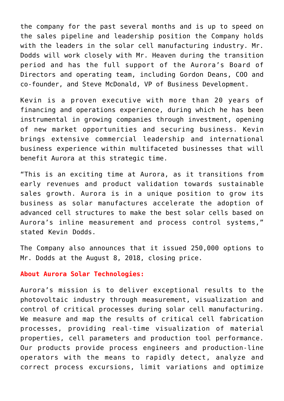the company for the past several months and is up to speed on the sales pipeline and leadership position the Company holds with the leaders in the solar cell manufacturing industry. Mr. Dodds will work closely with Mr. Heaven during the transition period and has the full support of the Aurora's Board of Directors and operating team, including Gordon Deans, COO and co-founder, and Steve McDonald, VP of Business Development.

Kevin is a proven executive with more than 20 years of financing and operations experience, during which he has been instrumental in growing companies through investment, opening of new market opportunities and securing business. Kevin brings extensive commercial leadership and international business experience within multifaceted businesses that will benefit Aurora at this strategic time.

"This is an exciting time at Aurora, as it transitions from early revenues and product validation towards sustainable sales growth. Aurora is in a unique position to grow its business as solar manufactures accelerate the adoption of advanced cell structures to make the best solar cells based on Aurora's inline measurement and process control systems," stated Kevin Dodds.

The Company also announces that it issued 250,000 options to Mr. Dodds at the August 8, 2018, closing price.

## **About Aurora Solar Technologies:**

Aurora's mission is to deliver exceptional results to the photovoltaic industry through measurement, visualization and control of critical processes during solar cell manufacturing. We measure and map the results of critical cell fabrication processes, providing real-time visualization of material properties, cell parameters and production tool performance. Our products provide process engineers and production-line operators with the means to rapidly detect, analyze and correct process excursions, limit variations and optimize